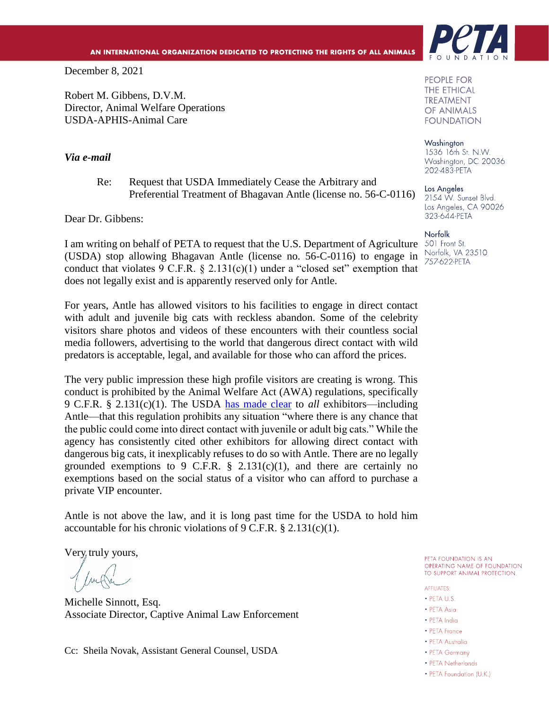December 8, 2021

Robert M. Gibbens, D.V.M. Director, Animal Welfare Operations USDA-APHIS-Animal Care

### *Via e-mail*

Re: Request that USDA Immediately Cease the Arbitrary and Preferential Treatment of Bhagavan Antle (license no. 56-C-0116)

Dear Dr. Gibbens:

I am writing on behalf of PETA to request that the U.S. Department of Agriculture (USDA) stop allowing Bhagavan Antle (license no. 56-C-0116) to engage in conduct that violates 9 C.F.R.  $\S$  2.131(c)(1) under a "closed set" exemption that does not legally exist and is apparently reserved only for Antle.

For years, Antle has allowed visitors to his facilities to engage in direct contact with adult and juvenile big cats with reckless abandon. Some of the celebrity visitors share photos and videos of these encounters with their countless social media followers, advertising to the world that dangerous direct contact with wild predators is acceptable, legal, and available for those who can afford the prices.

The very public impression these high profile visitors are creating is wrong. This conduct is prohibited by the Animal Welfare Act (AWA) regulations, specifically 9 C.F.R. § 2.131(c)(1). The USDA [has made clear](https://www.aphis.usda.gov/animal_welfare/downloads/big_cat/big_cat_q&a.pdf) to *all* exhibitors—including Antle—that this regulation prohibits any situation "where there is any chance that the public could come into direct contact with juvenile or adult big cats." While the agency has consistently cited other exhibitors for allowing direct contact with dangerous big cats, it inexplicably refuses to do so with Antle. There are no legally grounded exemptions to 9 C.F.R.  $\S$  2.131(c)(1), and there are certainly no exemptions based on the social status of a visitor who can afford to purchase a private VIP encounter.

Antle is not above the law, and it is long past time for the USDA to hold him accountable for his chronic violations of  $9 \text{ C.F.R.}$  § 2.131(c)(1).

Very truly yours,

Michelle Sinnott, Esq. Associate Director, Captive Animal Law Enforcement

Cc: Sheila Novak, Assistant General Counsel, USDA



**PEOPLE FOR THE ETHICAL TREATMENT** OF ANIMALS **FOUNDATION** 

Washington 1536 16th St. N.W. Washington, DC 20036 202-483-PETA

Los Angeles 2154 W. Sunset Blvd. Los Angeles, CA 90026 323-644-PETA

Norfolk 501 Front St. Norfolk, VA 23510 757-622-PETA

PETA FOUNDATION IS AN OPERATING NAME OF FOUNDATION TO SUPPORT ANIMAL PROTECTION.

**AFFILIATES:** 

- $\bullet$  PFTA IIS
- PETA Asia
- · PFTA India
- PETA France
- PETA Australia
- PETA Germany
- PETA Netherlands
- PETA Foundation (U.K.)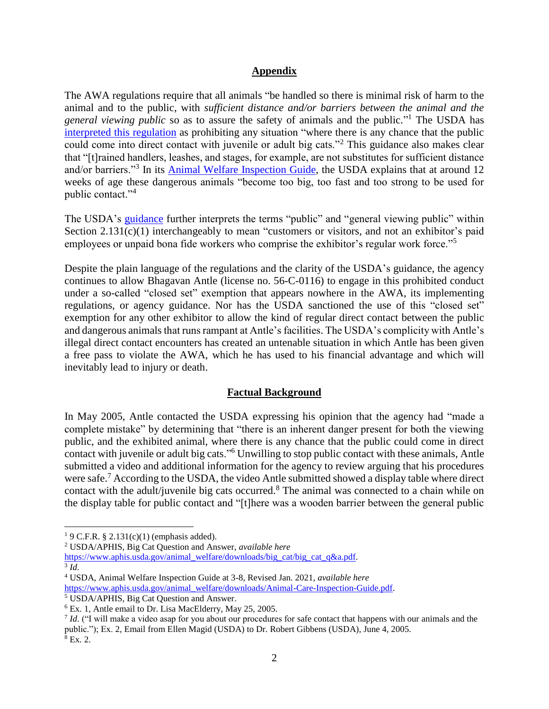### **Appendix**

The AWA regulations require that all animals "be handled so there is minimal risk of harm to the animal and to the public, with *sufficient distance and/or barriers between the animal and the general viewing public* so as to assure the safety of animals and the public." <sup>1</sup> The USDA has interpreted [this regulation](https://www.aphis.usda.gov/animal_welfare/downloads/big_cat/big_cat_q&a.pdf) as prohibiting any situation "where there is any chance that the public could come into direct contact with juvenile or adult big cats."<sup>2</sup> This guidance also makes clear that "[t]rained handlers, leashes, and stages, for example, are not substitutes for sufficient distance and/or barriers."<sup>3</sup> In its **Animal Welfare Inspection Guide**, the USDA explains that at around 12 weeks of age these dangerous animals "become too big, too fast and too strong to be used for public contact."<sup>4</sup>

The USDA's [guidance](https://www.aphis.usda.gov/animal_welfare/downloads/big_cat/big_cat_q&a.pdf) further interprets the terms "public" and "general viewing public" within Section 2.131(c)(1) interchangeably to mean "customers or visitors, and not an exhibitor's paid employees or unpaid bona fide workers who comprise the exhibitor's regular work force."<sup>5</sup>

Despite the plain language of the regulations and the clarity of the USDA's guidance, the agency continues to allow Bhagavan Antle (license no. 56-C-0116) to engage in this prohibited conduct under a so-called "closed set" exemption that appears nowhere in the AWA, its implementing regulations, or agency guidance. Nor has the USDA sanctioned the use of this "closed set" exemption for any other exhibitor to allow the kind of regular direct contact between the public and dangerous animals that runs rampant at Antle's facilities. The USDA's complicity with Antle's illegal direct contact encounters has created an untenable situation in which Antle has been given a free pass to violate the AWA, which he has used to his financial advantage and which will inevitably lead to injury or death.

# **Factual Background**

In May 2005, Antle contacted the USDA expressing his opinion that the agency had "made a complete mistake" by determining that "there is an inherent danger present for both the viewing public, and the exhibited animal, where there is any chance that the public could come in direct contact with juvenile or adult big cats."<sup>6</sup> Unwilling to stop public contact with these animals, Antle submitted a video and additional information for the agency to review arguing that his procedures were safe.<sup>7</sup> According to the USDA, the video Antle submitted showed a display table where direct contact with the adult/juvenile big cats occurred.<sup>8</sup> The animal was connected to a chain while on the display table for public contact and "[t]here was a wooden barrier between the general public

3 *Id*.

<sup>&</sup>lt;sup>1</sup> 9 C.F.R. § 2.131(c)(1) (emphasis added).

<sup>2</sup> USDA/APHIS, Big Cat Question and Answer, *available here*

[https://www.aphis.usda.gov/animal\\_welfare/downloads/big\\_cat/big\\_cat\\_q&a.pdf.](https://www.aphis.usda.gov/animal_welfare/downloads/big_cat/big_cat_q&a.pdf)

<sup>4</sup> USDA, Animal Welfare Inspection Guide at 3-8, Revised Jan. 2021, *available here* 

[https://www.aphis.usda.gov/animal\\_welfare/downloads/Animal-Care-Inspection-Guide.pdf.](https://www.aphis.usda.gov/animal_welfare/downloads/Animal-Care-Inspection-Guide.pdf)

<sup>5</sup> USDA/APHIS, Big Cat Question and Answer.

<sup>6</sup> Ex. 1, Antle email to Dr. Lisa MacElderry, May 25, 2005.

*Id.* ("I will make a video asap for you about our procedures for safe contact that happens with our animals and the public."); Ex. 2, Email from Ellen Magid (USDA) to Dr. Robert Gibbens (USDA), June 4, 2005.  $8$  Ex. 2.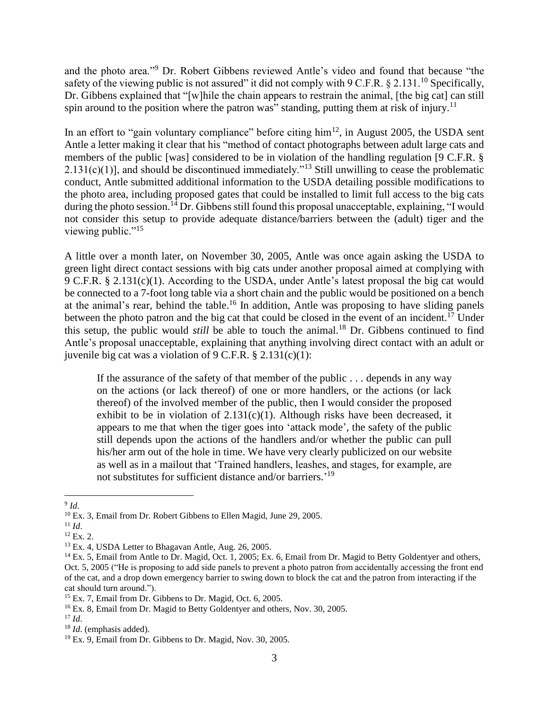and the photo area."<sup>9</sup> Dr. Robert Gibbens reviewed Antle's video and found that because "the safety of the viewing public is not assured" it did not comply with  $9 \text{ C.F.R.}$  § 2.131.<sup>10</sup> Specifically, Dr. Gibbens explained that "[w]hile the chain appears to restrain the animal, [the big cat] can still spin around to the position where the patron was" standing, putting them at risk of injury.<sup>11</sup>

In an effort to "gain voluntary compliance" before citing  $\lim^{12}$ , in August 2005, the USDA sent Antle a letter making it clear that his "method of contact photographs between adult large cats and members of the public [was] considered to be in violation of the handling regulation [9 C.F.R. §  $2.131(c)(1)$ ], and should be discontinued immediately.<sup>"13</sup> Still unwilling to cease the problematic conduct, Antle submitted additional information to the USDA detailing possible modifications to the photo area, including proposed gates that could be installed to limit full access to the big cats during the photo session.<sup>14</sup> Dr. Gibbens still found this proposal unacceptable, explaining, "I would not consider this setup to provide adequate distance/barriers between the (adult) tiger and the viewing public."<sup>15</sup>

A little over a month later, on November 30, 2005, Antle was once again asking the USDA to green light direct contact sessions with big cats under another proposal aimed at complying with 9 C.F.R. § 2.131(c)(1). According to the USDA, under Antle's latest proposal the big cat would be connected to a 7-foot long table via a short chain and the public would be positioned on a bench at the animal's rear, behind the table.<sup>16</sup> In addition, Antle was proposing to have sliding panels between the photo patron and the big cat that could be closed in the event of an incident.<sup>17</sup> Under this setup, the public would *still* be able to touch the animal.<sup>18</sup> Dr. Gibbens continued to find Antle's proposal unacceptable, explaining that anything involving direct contact with an adult or juvenile big cat was a violation of  $9 \text{ C.F.R.}$  § 2.131(c)(1):

If the assurance of the safety of that member of the public . . . depends in any way on the actions (or lack thereof) of one or more handlers, or the actions (or lack thereof) of the involved member of the public, then I would consider the proposed exhibit to be in violation of  $2.131(c)(1)$ . Although risks have been decreased, it appears to me that when the tiger goes into 'attack mode', the safety of the public still depends upon the actions of the handlers and/or whether the public can pull his/her arm out of the hole in time. We have very clearly publicized on our website as well as in a mailout that 'Trained handlers, leashes, and stages, for example, are not substitutes for sufficient distance and/or barriers.'<sup>19</sup>

<sup>9</sup> *Id*.

<sup>10</sup> Ex. 3, Email from Dr. Robert Gibbens to Ellen Magid, June 29, 2005.

 $11$  *Id.* 

<sup>12</sup> Ex. 2.

<sup>13</sup> Ex. 4, USDA Letter to Bhagavan Antle, Aug. 26, 2005.

<sup>&</sup>lt;sup>14</sup> Ex. 5, Email from Antle to Dr. Magid, Oct. 1, 2005; Ex. 6, Email from Dr. Magid to Betty Goldentyer and others, Oct. 5, 2005 ("He is proposing to add side panels to prevent a photo patron from accidentally accessing the front end of the cat, and a drop down emergency barrier to swing down to block the cat and the patron from interacting if the cat should turn around.").

<sup>&</sup>lt;sup>15</sup> Ex. 7, Email from Dr. Gibbens to Dr. Magid, Oct. 6, 2005.

<sup>16</sup> Ex. 8, Email from Dr. Magid to Betty Goldentyer and others, Nov. 30, 2005.

 $17$  *Id.* 

<sup>18</sup> *Id*. (emphasis added).

<sup>19</sup> Ex. 9, Email from Dr. Gibbens to Dr. Magid, Nov. 30, 2005.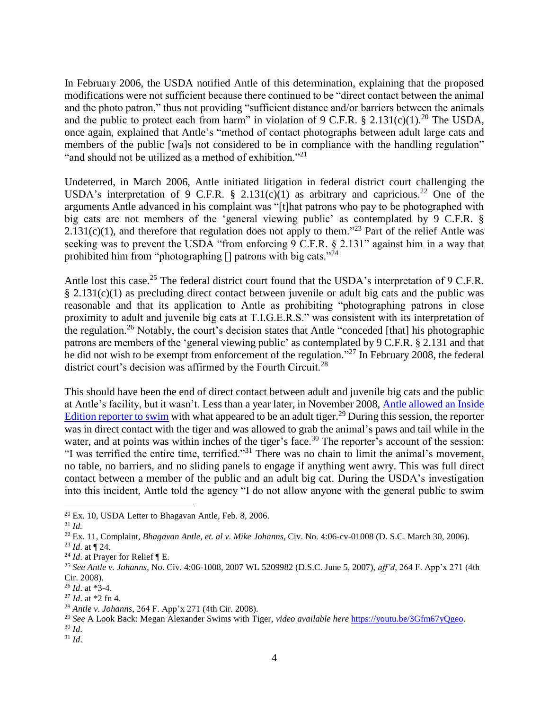In February 2006, the USDA notified Antle of this determination, explaining that the proposed modifications were not sufficient because there continued to be "direct contact between the animal and the photo patron," thus not providing "sufficient distance and/or barriers between the animals and the public to protect each from harm" in violation of 9 C.F.R. § 2.131(c)(1).<sup>20</sup> The USDA, once again, explained that Antle's "method of contact photographs between adult large cats and members of the public [wa]s not considered to be in compliance with the handling regulation" "and should not be utilized as a method of exhibition."<sup>21</sup>

Undeterred, in March 2006, Antle initiated litigation in federal district court challenging the USDA's interpretation of 9 C.F.R. § 2.131(c)(1) as arbitrary and capricious.<sup>22</sup> One of the arguments Antle advanced in his complaint was "[t]hat patrons who pay to be photographed with big cats are not members of the 'general viewing public' as contemplated by 9 C.F.R. §  $2.131(c)(1)$ , and therefore that regulation does not apply to them."<sup>23</sup> Part of the relief Antle was seeking was to prevent the USDA "from enforcing 9 C.F.R. § 2.131" against him in a way that prohibited him from "photographing  $\iint$  patrons with big cats."<sup>24</sup>

Antle lost this case.<sup>25</sup> The federal district court found that the USDA's interpretation of 9 C.F.R. § 2.131(c)(1) as precluding direct contact between juvenile or adult big cats and the public was reasonable and that its application to Antle as prohibiting "photographing patrons in close proximity to adult and juvenile big cats at T.I.G.E.R.S." was consistent with its interpretation of the regulation.<sup>26</sup> Notably, the court's decision states that Antle "conceded [that] his photographic patrons are members of the 'general viewing public' as contemplated by 9 C.F.R. § 2.131 and that he did not wish to be exempt from enforcement of the regulation."<sup>27</sup> In February 2008, the federal district court's decision was affirmed by the Fourth Circuit.<sup>28</sup>

This should have been the end of direct contact between adult and juvenile big cats and the public at Antle's facility, but it wasn't. Less than a year later, in November 2008, [Antle allowed an Inside](https://youtu.be/3Gfm67yQgeo)  Edition reporter [to swim](https://youtu.be/3Gfm67yQgeo) with what appeared to be an adult tiger.<sup>29</sup> During this session, the reporter was in direct contact with the tiger and was allowed to grab the animal's paws and tail while in the water, and at points was within inches of the tiger's face.<sup>30</sup> The reporter's account of the session: "I was terrified the entire time, terrified."<sup>31</sup> There was no chain to limit the animal's movement, no table, no barriers, and no sliding panels to engage if anything went awry. This was full direct contact between a member of the public and an adult big cat. During the USDA's investigation into this incident, Antle told the agency "I do not allow anyone with the general public to swim

 $\overline{a}$ 

<sup>30</sup> *Id*.

<sup>20</sup> Ex. 10, USDA Letter to Bhagavan Antle, Feb. 8, 2006.

 $^{21}$  *Id*.

<sup>22</sup> Ex. 11, Complaint, *Bhagavan Antle, et. al v. Mike Johanns*, Civ. No. 4:06-cv-01008 (D. S.C. March 30, 2006).

<sup>23</sup> *Id*. at ¶ 24.

<sup>24</sup> *Id*. at Prayer for Relief ¶ E.

<sup>25</sup> *See Antle v. Johanns*, No. Civ. 4:06-1008, 2007 WL 5209982 (D.S.C. June 5, 2007), *aff'd*, 264 F. App'x 271 (4th Cir. 2008).

<sup>26</sup> *Id*. at \*3-4.

<sup>27</sup> *Id*. at \*2 fn 4.

<sup>28</sup> *Antle v. Johanns*, 264 F. App'x 271 (4th Cir. 2008).

<sup>29</sup> *See* A Look Back: Megan Alexander Swims with Tiger, *video available here* [https://youtu.be/3Gfm67yQgeo.](https://youtu.be/3Gfm67yQgeo)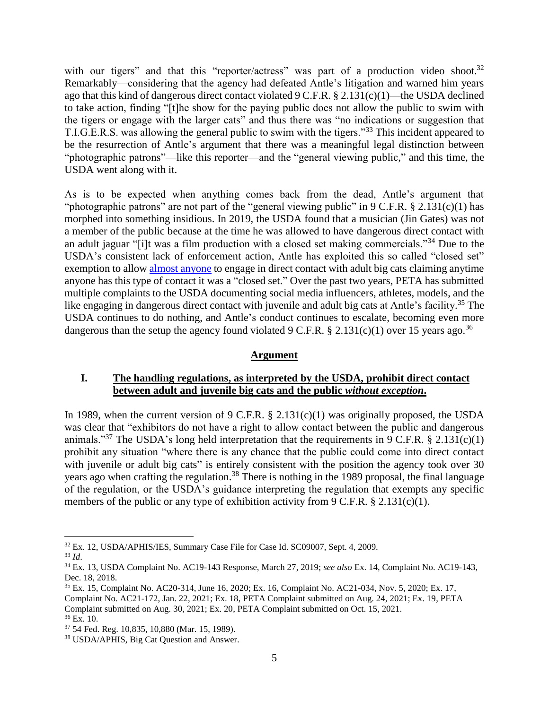with our tigers" and that this "reporter/actress" was part of a production video shoot.<sup>32</sup> Remarkably—considering that the agency had defeated Antle's litigation and warned him years ago that this kind of dangerous direct contact violated 9 C.F.R. § 2.131(c)(1)—the USDA declined to take action, finding "[t]he show for the paying public does not allow the public to swim with the tigers or engage with the larger cats" and thus there was "no indications or suggestion that T.I.G.E.R.S. was allowing the general public to swim with the tigers."<sup>33</sup> This incident appeared to be the resurrection of Antle's argument that there was a meaningful legal distinction between "photographic patrons"—like this reporter—and the "general viewing public," and this time, the USDA went along with it.

As is to be expected when anything comes back from the dead, Antle's argument that "photographic patrons" are not part of the "general viewing public" in 9 C.F.R. § 2.131(c)(1) has morphed into something insidious. In 2019, the USDA found that a musician (Jin Gates) was not a member of the public because at the time he was allowed to have dangerous direct contact with an adult jaguar "[i]t was a film production with a closed set making commercials."<sup>34</sup> Due to the USDA's consistent lack of enforcement action, Antle has exploited this so called "closed set" exemption to allo[w almost anyone](https://myrtlebeachsafari.com/our-celebrities/) to engage in direct contact with adult big cats claiming anytime anyone has this type of contact it was a "closed set." Over the past two years, PETA has submitted multiple complaints to the USDA documenting social media influencers, athletes, models, and the like engaging in dangerous direct contact with juvenile and adult big cats at Antle's facility.<sup>35</sup> The USDA continues to do nothing, and Antle's conduct continues to escalate, becoming even more dangerous than the setup the agency found violated 9 C.F.R. § 2.131(c)(1) over 15 years ago.<sup>36</sup>

### **Argument**

### **I. The handling regulations, as interpreted by the USDA, prohibit direct contact between adult and juvenile big cats and the public** *without exception***.**

In 1989, when the current version of 9 C.F.R.  $\S$  2.131(c)(1) was originally proposed, the USDA was clear that "exhibitors do not have a right to allow contact between the public and dangerous animals."<sup>37</sup> The USDA's long held interpretation that the requirements in 9 C.F.R. § 2.131(c)(1) prohibit any situation "where there is any chance that the public could come into direct contact with juvenile or adult big cats" is entirely consistent with the position the agency took over 30 years ago when crafting the regulation.<sup>38</sup> There is nothing in the 1989 proposal, the final language of the regulation, or the USDA's guidance interpreting the regulation that exempts any specific members of the public or any type of exhibition activity from  $9 \text{ C.F.R.}$  § 2.131(c)(1).

<sup>32</sup> Ex. 12, USDA/APHIS/IES, Summary Case File for Case Id. SC09007, Sept. 4, 2009.

<sup>33</sup> *Id*.

<sup>34</sup> Ex. 13, USDA Complaint No. AC19-143 Response, March 27, 2019; *see also* Ex. 14, Complaint No. AC19-143, Dec. 18, 2018.

<sup>35</sup> Ex. 15, Complaint No. AC20-314, June 16, 2020; Ex. 16, Complaint No. AC21-034, Nov. 5, 2020; Ex. 17, Complaint No. AC21-172, Jan. 22, 2021; Ex. 18, PETA Complaint submitted on Aug. 24, 2021; Ex. 19, PETA Complaint submitted on Aug. 30, 2021; Ex. 20, PETA Complaint submitted on Oct. 15, 2021. <sup>36</sup> Ex. 10.

<sup>37</sup> 54 Fed. Reg. 10,835, 10,880 (Mar. 15, 1989).

<sup>38</sup> USDA/APHIS, Big Cat Question and Answer.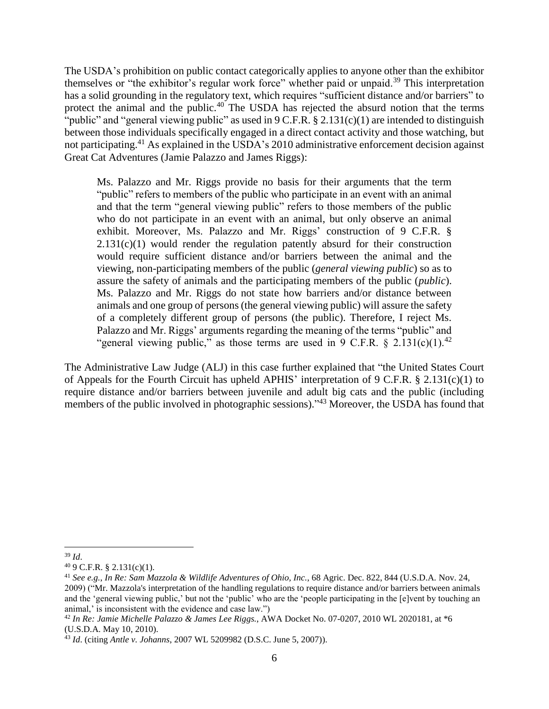The USDA's prohibition on public contact categorically applies to anyone other than the exhibitor themselves or "the exhibitor's regular work force" whether paid or unpaid.<sup>39</sup> This interpretation has a solid grounding in the regulatory text, which requires "sufficient distance and/or barriers" to protect the animal and the public. $40$  The USDA has rejected the absurd notion that the terms "public" and "general viewing public" as used in  $9 \text{ C.F.R.}$  § 2.131(c)(1) are intended to distinguish between those individuals specifically engaged in a direct contact activity and those watching, but not participating.<sup>41</sup> As explained in the USDA's 2010 administrative enforcement decision against Great Cat Adventures (Jamie Palazzo and James Riggs):

Ms. Palazzo and Mr. Riggs provide no basis for their arguments that the term "public" refers to members of the public who participate in an event with an animal and that the term "general viewing public" refers to those members of the public who do not participate in an event with an animal, but only observe an animal exhibit. Moreover, Ms. Palazzo and Mr. Riggs' construction of 9 C.F.R. §  $2.131(c)(1)$  would render the regulation patently absurd for their construction would require sufficient distance and/or barriers between the animal and the viewing, non-participating members of the public (*general viewing public*) so as to assure the safety of animals and the participating members of the public (*public*). Ms. Palazzo and Mr. Riggs do not state how barriers and/or distance between animals and one group of persons (the general viewing public) will assure the safety of a completely different group of persons (the public). Therefore, I reject Ms. Palazzo and Mr. Riggs' arguments regarding the meaning of the terms "public" and "general viewing public," as those terms are used in 9 C.F.R.  $\frac{2.131(c)(1)^{42}}{2.56}$ 

The Administrative Law Judge (ALJ) in this case further explained that "the United States Court of Appeals for the Fourth Circuit has upheld APHIS' interpretation of 9 C.F.R. § 2.131(c)(1) to require distance and/or barriers between juvenile and adult big cats and the public (including members of the public involved in photographic sessions)."<sup>43</sup> Moreover, the USDA has found that

<sup>39</sup> *Id*.

<sup>40</sup> 9 C.F.R. § 2.131(c)(1).

<sup>41</sup> *See e.g.*, *In Re: Sam Mazzola & Wildlife Adventures of Ohio, Inc.*, 68 Agric. Dec. 822, 844 (U.S.D.A. Nov. 24, 2009) ("Mr. Mazzola's interpretation of the handling regulations to require distance and/or barriers between animals and the 'general viewing public,' but not the 'public' who are the 'people participating in the [e]vent by touching an animal,' is inconsistent with the evidence and case law.")

<sup>42</sup> *In Re: Jamie Michelle Palazzo & James Lee Riggs.*, AWA Docket No. 07-0207, 2010 WL 2020181, at \*6 (U.S.D.A. May 10, 2010).

<sup>43</sup> *Id*. (citing *Antle v. Johanns*, 2007 WL 5209982 (D.S.C. June 5, 2007)).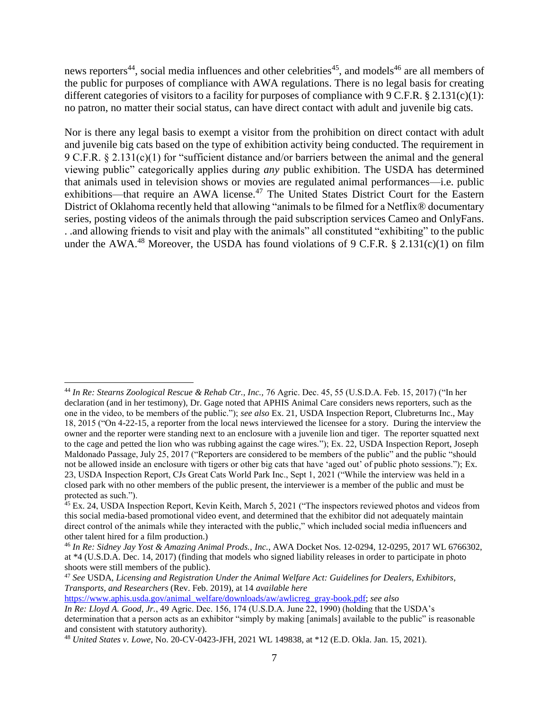news reporters<sup>44</sup>, social media influences and other celebrities<sup>45</sup>, and models<sup>46</sup> are all members of the public for purposes of compliance with AWA regulations. There is no legal basis for creating different categories of visitors to a facility for purposes of compliance with  $9 \text{ C.F.R.}$  § 2.131(c)(1): no patron, no matter their social status, can have direct contact with adult and juvenile big cats.

Nor is there any legal basis to exempt a visitor from the prohibition on direct contact with adult and juvenile big cats based on the type of exhibition activity being conducted. The requirement in 9 C.F.R. § 2.131(c)(1) for "sufficient distance and/or barriers between the animal and the general viewing public" categorically applies during *any* public exhibition. The USDA has determined that animals used in television shows or movies are regulated animal performances—i.e. public exhibitions—that require an AWA license.<sup>47</sup> The United States District Court for the Eastern District of Oklahoma recently held that allowing "animals to be filmed for a Netflix® documentary series, posting videos of the animals through the paid subscription services Cameo and OnlyFans. . .and allowing friends to visit and play with the animals" all constituted "exhibiting" to the public under the AWA.<sup>48</sup> Moreover, the USDA has found violations of 9 C.F.R. § 2.131(c)(1) on film

[https://www.aphis.usda.gov/animal\\_welfare/downloads/aw/awlicreg\\_gray-book.pdf;](https://www.aphis.usda.gov/animal_welfare/downloads/aw/awlicreg_gray-book.pdf) *see also*

 $\overline{a}$ <sup>44</sup> *In Re: Stearns Zoological Rescue & Rehab Ctr., Inc.,* 76 Agric. Dec. 45, 55 (U.S.D.A. Feb. 15, 2017) ("In her declaration (and in her testimony), Dr. Gage noted that APHIS Animal Care considers news reporters, such as the one in the video, to be members of the public."); *see also* Ex. 21, USDA Inspection Report, Clubreturns Inc., May 18, 2015 ("On 4-22-15, a reporter from the local news interviewed the licensee for a story. During the interview the owner and the reporter were standing next to an enclosure with a juvenile lion and tiger. The reporter squatted next to the cage and petted the lion who was rubbing against the cage wires."); Ex. 22, USDA Inspection Report, Joseph Maldonado Passage, July 25, 2017 ("Reporters are considered to be members of the public" and the public "should not be allowed inside an enclosure with tigers or other big cats that have 'aged out' of public photo sessions."); Ex. 23, USDA Inspection Report, CJs Great Cats World Park Inc., Sept 1, 2021 ("While the interview was held in a closed park with no other members of the public present, the interviewer is a member of the public and must be protected as such.").

<sup>&</sup>lt;sup>45</sup> Ex. 24, USDA Inspection Report, Kevin Keith, March 5, 2021 ("The inspectors reviewed photos and videos from this social media-based promotional video event, and determined that the exhibitor did not adequately maintain direct control of the animals while they interacted with the public," which included social media influencers and other talent hired for a film production.)

<sup>46</sup> *In Re: Sidney Jay Yost & Amazing Animal Prods., Inc.*, AWA Docket Nos. 12-0294, 12-0295, 2017 WL 6766302, at \*4 (U.S.D.A. Dec. 14, 2017) (finding that models who signed liability releases in order to participate in photo shoots were still members of the public).

<sup>47</sup> *See* USDA, *Licensing and Registration Under the Animal Welfare Act: Guidelines for Dealers, Exhibitors, Transports, and Researchers* (Rev. Feb. 2019), at 14 *available here*

*In Re: Lloyd A. Good, Jr.*, 49 Agric. Dec. 156, 174 (U.S.D.A. June 22, 1990) (holding that the USDA's determination that a person acts as an exhibitor "simply by making [animals] available to the public" is reasonable and consistent with statutory authority).

<sup>48</sup> *United States v. Lowe*, No. 20-CV-0423-JFH, 2021 WL 149838, at \*12 (E.D. Okla. Jan. 15, 2021).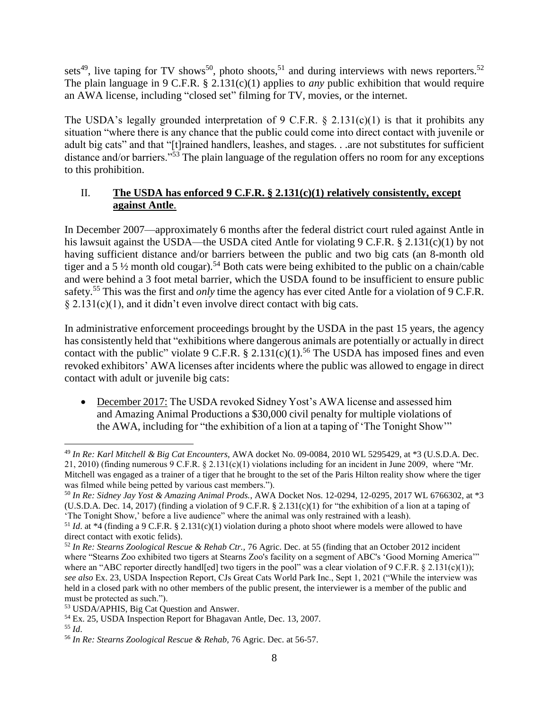sets<sup>49</sup>, live taping for TV shows<sup>50</sup>, photo shoots,<sup>51</sup> and during interviews with news reporters.<sup>52</sup> The plain language in 9 C.F.R. § 2.131(c)(1) applies to *any* public exhibition that would require an AWA license, including "closed set" filming for TV, movies, or the internet.

The USDA's legally grounded interpretation of 9 C.F.R.  $\S$  2.131(c)(1) is that it prohibits any situation "where there is any chance that the public could come into direct contact with juvenile or adult big cats" and that "[t]rained handlers, leashes, and stages. . .are not substitutes for sufficient distance and/or barriers."<sup>53</sup> The plain language of the regulation offers no room for any exceptions to this prohibition.

# II. **The USDA has enforced 9 C.F.R. § 2.131(c)(1) relatively consistently, except against Antle**.

In December 2007—approximately 6 months after the federal district court ruled against Antle in his lawsuit against the USDA—the USDA cited Antle for violating 9 C.F.R. § 2.131(c)(1) by not having sufficient distance and/or barriers between the public and two big cats (an 8-month old tiger and a 5  $\frac{1}{2}$  month old cougar).<sup>54</sup> Both cats were being exhibited to the public on a chain/cable and were behind a 3 foot metal barrier, which the USDA found to be insufficient to ensure public safety.<sup>55</sup> This was the first and *only* time the agency has ever cited Antle for a violation of 9 C.F.R.  $§ 2.131(c)(1)$ , and it didn't even involve direct contact with big cats.

In administrative enforcement proceedings brought by the USDA in the past 15 years, the agency has consistently held that "exhibitions where dangerous animals are potentially or actually in direct contact with the public" violate 9 C.F.R.  $\S 2.131(c)(1)$ .<sup>56</sup> The USDA has imposed fines and even revoked exhibitors' AWA licenses after incidents where the public was allowed to engage in direct contact with adult or juvenile big cats:

• December 2017: The USDA revoked Sidney Yost's AWA license and assessed him and Amazing Animal Productions a \$30,000 civil penalty for multiple violations of the AWA, including for "the exhibition of a lion at a taping of 'The Tonight Show'"

<sup>49</sup> *In Re: Karl Mitchell & Big Cat Encounters*, AWA docket No. 09-0084, 2010 WL 5295429, at \*3 (U.S.D.A. Dec. 21, 2010) (finding numerous 9 C.F.R.  $\S 2.131(c)(1)$  violations including for an incident in June 2009, where "Mr. Mitchell was engaged as a trainer of a tiger that he brought to the set of the Paris Hilton reality show where the tiger was filmed while being petted by various cast members.").

<sup>50</sup> *In Re: Sidney Jay Yost & Amazing Animal Prods.*, AWA Docket Nos. 12-0294, 12-0295, 2017 WL 6766302, at \*3 (U.S.D.A. Dec. 14, 2017) (finding a violation of 9 C.F.R. § 2.131(c)(1) for "the exhibition of a lion at a taping of 'The Tonight Show,' before a live audience" where the animal was only restrained with a leash).

<sup>&</sup>lt;sup>51</sup> *Id.* at \*4 (finding a 9 C.F.R. § 2.131(c)(1) violation during a photo shoot where models were allowed to have direct contact with exotic felids).

<sup>52</sup> *In Re: Stearns Zoological Rescue & Rehab Ctr.,* 76 Agric. Dec. at 55 (finding that an October 2012 incident where "Stearns Zoo exhibited two tigers at Stearns Zoo's facility on a segment of ABC's 'Good Morning America'" where an "ABC reporter directly handl[ed] two tigers in the pool" was a clear violation of 9 C.F.R. § 2.131(c)(1)); *see also* Ex. 23, USDA Inspection Report, CJs Great Cats World Park Inc., Sept 1, 2021 ("While the interview was held in a closed park with no other members of the public present, the interviewer is a member of the public and must be protected as such.").

<sup>53</sup> USDA/APHIS, Big Cat Question and Answer.

<sup>54</sup> Ex. 25, USDA Inspection Report for Bhagavan Antle, Dec. 13, 2007. <sup>55</sup> *Id*.

<sup>56</sup> *In Re: Stearns Zoological Rescue & Rehab,* 76 Agric. Dec. at 56-57.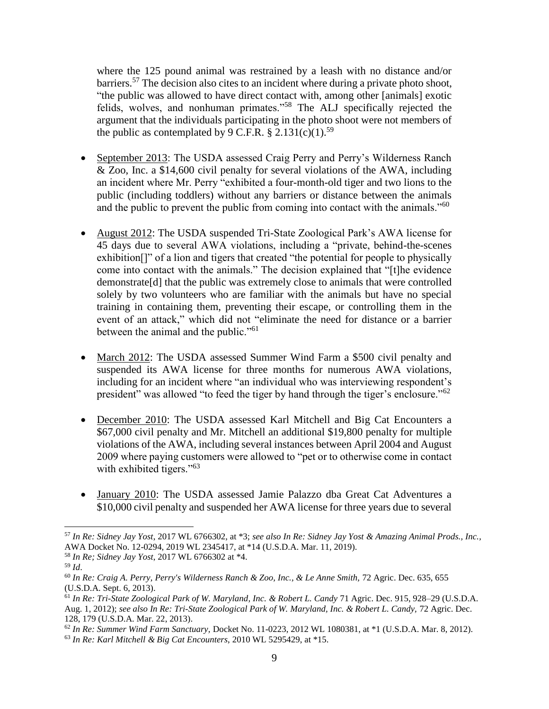where the 125 pound animal was restrained by a leash with no distance and/or barriers.<sup>57</sup> The decision also cites to an incident where during a private photo shoot, "the public was allowed to have direct contact with, among other [animals] exotic felids, wolves, and nonhuman primates."<sup>58</sup> The ALJ specifically rejected the argument that the individuals participating in the photo shoot were not members of the public as contemplated by 9 C.F.R.  $\S 2.131(c)(1).^{59}$ 

- September 2013: The USDA assessed Craig Perry and Perry's Wilderness Ranch & Zoo, Inc. a \$14,600 civil penalty for several violations of the AWA, including an incident where Mr. Perry "exhibited a four-month-old tiger and two lions to the public (including toddlers) without any barriers or distance between the animals and the public to prevent the public from coming into contact with the animals."<sup>60</sup>
- August 2012: The USDA suspended Tri-State Zoological Park's AWA license for 45 days due to several AWA violations, including a "private, behind-the-scenes exhibition[]" of a lion and tigers that created "the potential for people to physically come into contact with the animals." The decision explained that "[t]he evidence demonstrate[d] that the public was extremely close to animals that were controlled solely by two volunteers who are familiar with the animals but have no special training in containing them, preventing their escape, or controlling them in the event of an attack," which did not "eliminate the need for distance or a barrier between the animal and the public."<sup>61</sup>
- March 2012: The USDA assessed Summer Wind Farm a \$500 civil penalty and suspended its AWA license for three months for numerous AWA violations, including for an incident where "an individual who was interviewing respondent's president" was allowed "to feed the tiger by hand through the tiger's enclosure."<sup>62</sup>
- December 2010: The USDA assessed Karl Mitchell and Big Cat Encounters a \$67,000 civil penalty and Mr. Mitchell an additional \$19,800 penalty for multiple violations of the AWA, including several instances between April 2004 and August 2009 where paying customers were allowed to "pet or to otherwise come in contact with exhibited tigers."<sup>63</sup>
- January 2010: The USDA assessed Jamie Palazzo dba Great Cat Adventures a \$10,000 civil penalty and suspended her AWA license for three years due to several

<sup>57</sup> *In Re: Sidney Jay Yost*, 2017 WL 6766302, at \*3; *see also In Re: Sidney Jay Yost & Amazing Animal Prods., Inc.,*  AWA Docket No. 12-0294, 2019 WL 2345417, at \*14 (U.S.D.A. Mar. 11, 2019).

<sup>58</sup> *In Re; Sidney Jay Yost*, 2017 WL 6766302 at \*4.

<sup>59</sup> *Id*.

<sup>60</sup> *In Re: Craig A. Perry, Perry's Wilderness Ranch & Zoo, Inc., & Le Anne Smith,* 72 Agric. Dec. 635, 655 (U.S.D.A. Sept. 6, 2013).

<sup>61</sup> *In Re: Tri-State Zoological Park of W. Maryland, Inc. & Robert L. Candy* 71 Agric. Dec. 915, 928–29 (U.S.D.A. Aug. 1, 2012); see also In Re: Tri-State Zoological Park of W. Maryland, Inc. & Robert L. Candy, 72 Agric. Dec. 128, 179 (U.S.D.A. Mar. 22, 2013).

<sup>62</sup> *In Re: Summer Wind Farm Sanctuary,* Docket No. 11-0223, 2012 WL 1080381, at \*1 (U.S.D.A. Mar. 8, 2012). <sup>63</sup> *In Re: Karl Mitchell & Big Cat Encounters*, 2010 WL 5295429, at \*15.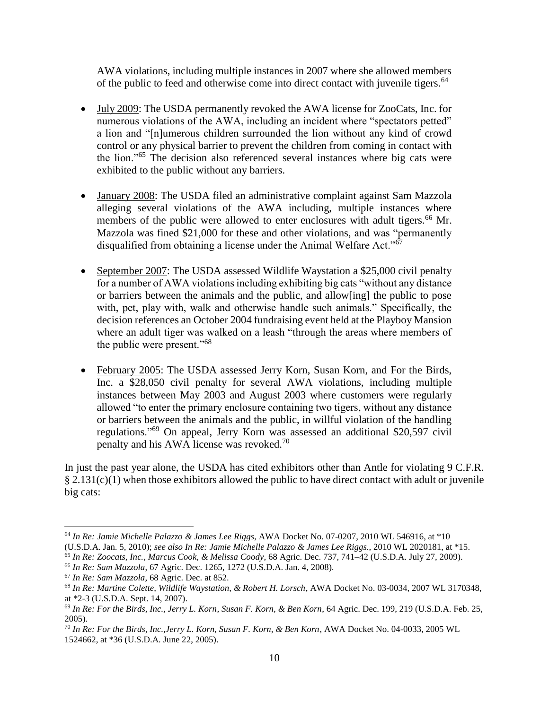AWA violations, including multiple instances in 2007 where she allowed members of the public to feed and otherwise come into direct contact with juvenile tigers.<sup>64</sup>

- July 2009: The USDA permanently revoked the AWA license for ZooCats, Inc. for numerous violations of the AWA, including an incident where "spectators petted" a lion and "[n]umerous children surrounded the lion without any kind of crowd control or any physical barrier to prevent the children from coming in contact with the lion."<sup>65</sup> The decision also referenced several instances where big cats were exhibited to the public without any barriers.
- January 2008: The USDA filed an administrative complaint against Sam Mazzola alleging several violations of the AWA including, multiple instances where members of the public were allowed to enter enclosures with adult tigers.<sup>66</sup> Mr. Mazzola was fined \$21,000 for these and other violations, and was "permanently disqualified from obtaining a license under the Animal Welfare Act."<sup>67</sup>
- September 2007: The USDA assessed Wildlife Waystation a \$25,000 civil penalty for a number of AWA violations including exhibiting big cats "without any distance or barriers between the animals and the public, and allow[ing] the public to pose with, pet, play with, walk and otherwise handle such animals." Specifically, the decision references an October 2004 fundraising event held at the Playboy Mansion where an adult tiger was walked on a leash "through the areas where members of the public were present."<sup>68</sup>
- February 2005: The USDA assessed Jerry Korn, Susan Korn, and For the Birds, Inc. a \$28,050 civil penalty for several AWA violations, including multiple instances between May 2003 and August 2003 where customers were regularly allowed "to enter the primary enclosure containing two tigers, without any distance or barriers between the animals and the public, in willful violation of the handling regulations."<sup>69</sup> On appeal, Jerry Korn was assessed an additional \$20,597 civil penalty and his AWA license was revoked.<sup>70</sup>

In just the past year alone, the USDA has cited exhibitors other than Antle for violating 9 C.F.R. § 2.131(c)(1) when those exhibitors allowed the public to have direct contact with adult or juvenile big cats:

<sup>64</sup> *In Re: Jamie Michelle Palazzo & James Lee Riggs*, AWA Docket No. 07-0207, 2010 WL 546916, at \*10

<sup>(</sup>U.S.D.A. Jan. 5, 2010); *see also In Re: Jamie Michelle Palazzo & James Lee Riggs.*, 2010 WL 2020181, at \*15.

<sup>65</sup> *In Re: Zoocats, Inc., Marcus Cook, & Melissa Coody*, 68 Agric. Dec. 737, 741–42 (U.S.D.A. July 27, 2009). <sup>66</sup> *In Re: Sam Mazzola*, 67 Agric. Dec. 1265, 1272 (U.S.D.A. Jan. 4, 2008).

<sup>67</sup> *In Re: Sam Mazzola*, 68 Agric. Dec. at 852.

<sup>68</sup> *In Re: Martine Colette, Wildlife Waystation, & Robert H. Lorsch*, AWA Docket No. 03-0034, 2007 WL 3170348, at \*2-3 (U.S.D.A. Sept. 14, 2007).

<sup>69</sup> *In Re: For the Birds, Inc., Jerry L. Korn, Susan F. Korn, & Ben Korn*, 64 Agric. Dec. 199, 219 (U.S.D.A. Feb. 25, 2005).

<sup>70</sup> *In Re: For the Birds, Inc.,Jerry L. Korn, Susan F. Korn, & Ben Korn*, AWA Docket No. 04-0033, 2005 WL 1524662, at \*36 (U.S.D.A. June 22, 2005).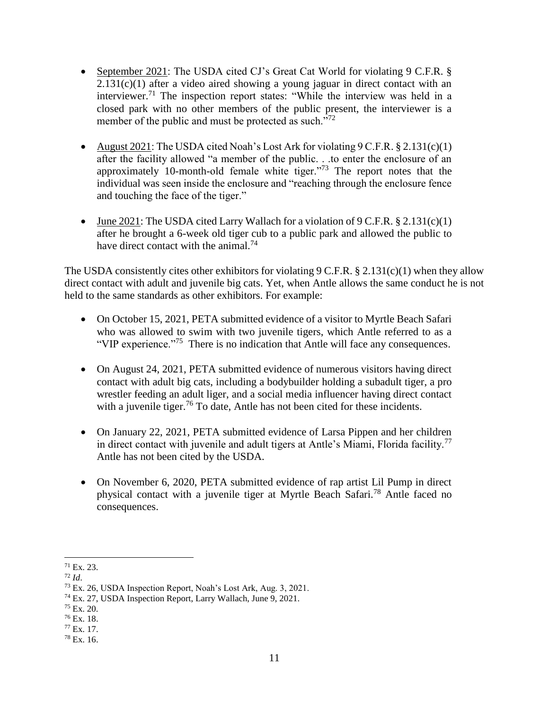- September 2021: The USDA cited CJ's Great Cat World for violating 9 C.F.R. §  $2.131(c)(1)$  after a video aired showing a young jaguar in direct contact with an interviewer.<sup>71</sup> The inspection report states: "While the interview was held in a closed park with no other members of the public present, the interviewer is a member of the public and must be protected as such. $172$
- August 2021: The USDA cited Noah's Lost Ark for violating  $9 \text{ C.F.R.}$   $§ 2.131(c)(1)$ after the facility allowed "a member of the public. . .to enter the enclosure of an approximately 10-month-old female white tiger."<sup>73</sup> The report notes that the individual was seen inside the enclosure and "reaching through the enclosure fence and touching the face of the tiger."
- June  $2021$ : The USDA cited Larry Wallach for a violation of 9 C.F.R. § 2.131(c)(1) after he brought a 6-week old tiger cub to a public park and allowed the public to have direct contact with the animal.<sup>74</sup>

The USDA consistently cites other exhibitors for violating  $9 \text{ C.F.R.}$  § 2.131(c)(1) when they allow direct contact with adult and juvenile big cats. Yet, when Antle allows the same conduct he is not held to the same standards as other exhibitors. For example:

- On October 15, 2021, PETA submitted evidence of a visitor to Myrtle Beach Safari who was allowed to swim with two juvenile tigers, which Antle referred to as a "VIP experience."<sup>75</sup> There is no indication that Antle will face any consequences.
- On August 24, 2021, PETA submitted evidence of numerous visitors having direct contact with adult big cats, including a bodybuilder holding a subadult tiger, a pro wrestler feeding an adult liger, and a social media influencer having direct contact with a juvenile tiger.<sup>76</sup> To date, Antle has not been cited for these incidents.
- On January 22, 2021, PETA submitted evidence of Larsa Pippen and her children in direct contact with juvenile and adult tigers at Antle's Miami, Florida facility.<sup>77</sup> Antle has not been cited by the USDA.
- On November 6, 2020, PETA submitted evidence of rap artist Lil Pump in direct physical contact with a juvenile tiger at Myrtle Beach Safari.<sup>78</sup> Antle faced no consequences.

l  $71$  Ex. 23.

<sup>72</sup> *Id*.

<sup>73</sup> Ex. 26, USDA Inspection Report, Noah's Lost Ark, Aug. 3, 2021.

<sup>74</sup> Ex. 27, USDA Inspection Report, Larry Wallach, June 9, 2021.

 $75$  Ex. 20.

<sup>76</sup> Ex. 18.

<sup>77</sup> Ex. 17.

<sup>78</sup> Ex. 16.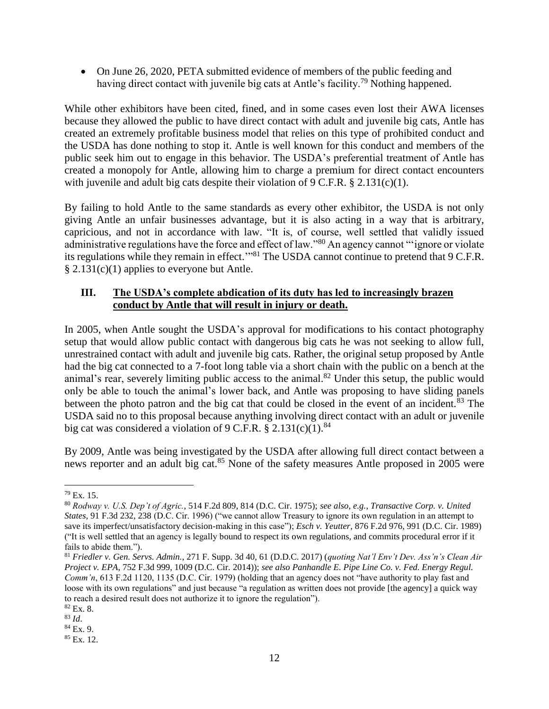On June 26, 2020, PETA submitted evidence of members of the public feeding and having direct contact with juvenile big cats at Antle's facility.<sup>79</sup> Nothing happened.

While other exhibitors have been cited, fined, and in some cases even lost their AWA licenses because they allowed the public to have direct contact with adult and juvenile big cats, Antle has created an extremely profitable business model that relies on this type of prohibited conduct and the USDA has done nothing to stop it. Antle is well known for this conduct and members of the public seek him out to engage in this behavior. The USDA's preferential treatment of Antle has created a monopoly for Antle, allowing him to charge a premium for direct contact encounters with juvenile and adult big cats despite their violation of 9 C.F.R. § 2.131(c)(1).

By failing to hold Antle to the same standards as every other exhibitor, the USDA is not only giving Antle an unfair businesses advantage, but it is also acting in a way that is arbitrary, capricious, and not in accordance with law. "It is, of course, well settled that validly issued administrative regulations have the force and effect of law."<sup>80</sup> An agency cannot "'ignore or violate its regulations while they remain in effect."<sup>81</sup> The USDA cannot continue to pretend that 9 C.F.R. § 2.131(c)(1) applies to everyone but Antle.

# **III. The USDA's complete abdication of its duty has led to increasingly brazen conduct by Antle that will result in injury or death.**

In 2005, when Antle sought the USDA's approval for modifications to his contact photography setup that would allow public contact with dangerous big cats he was not seeking to allow full, unrestrained contact with adult and juvenile big cats. Rather, the original setup proposed by Antle had the big cat connected to a 7-foot long table via a short chain with the public on a bench at the animal's rear, severely limiting public access to the animal.<sup>82</sup> Under this setup, the public would only be able to touch the animal's lower back, and Antle was proposing to have sliding panels between the photo patron and the big cat that could be closed in the event of an incident. $83$  The USDA said no to this proposal because anything involving direct contact with an adult or juvenile big cat was considered a violation of 9 C.F.R.  $\S 2.131(c)(1).$ <sup>84</sup>

By 2009, Antle was being investigated by the USDA after allowing full direct contact between a news reporter and an adult big cat.<sup>85</sup> None of the safety measures Antle proposed in 2005 were

<sup>79</sup> Ex. 15.

<sup>80</sup> *Rodway v. U.S. Dep't of Agric.*, 514 F.2d 809, 814 (D.C. Cir. 1975); *see also, e.g.*, *Transactive Corp. v. United States*, 91 F.3d 232, 238 (D.C. Cir. 1996) ("we cannot allow Treasury to ignore its own regulation in an attempt to save its imperfect/unsatisfactory decision-making in this case"); *Esch v. Yeutter*, 876 F.2d 976, 991 (D.C. Cir. 1989) ("It is well settled that an agency is legally bound to respect its own regulations, and commits procedural error if it fails to abide them.").

<sup>81</sup> *Friedler v. Gen. Servs. Admin.*, 271 F. Supp. 3d 40, 61 (D.D.C. 2017) (*quoting Nat'l Env't Dev. Ass'n's Clean Air Project v. EPA*, 752 F.3d 999, 1009 (D.C. Cir. 2014)); *see also Panhandle E. Pipe Line Co. v. Fed. Energy Regul. Comm'n*, 613 F.2d 1120, 1135 (D.C. Cir. 1979) (holding that an agency does not "have authority to play fast and loose with its own regulations" and just because "a regulation as written does not provide [the agency] a quick way to reach a desired result does not authorize it to ignore the regulation").

<sup>82</sup> Ex. 8.

<sup>83</sup> *Id*.

<sup>84</sup> Ex. 9. <sup>85</sup> Ex. 12.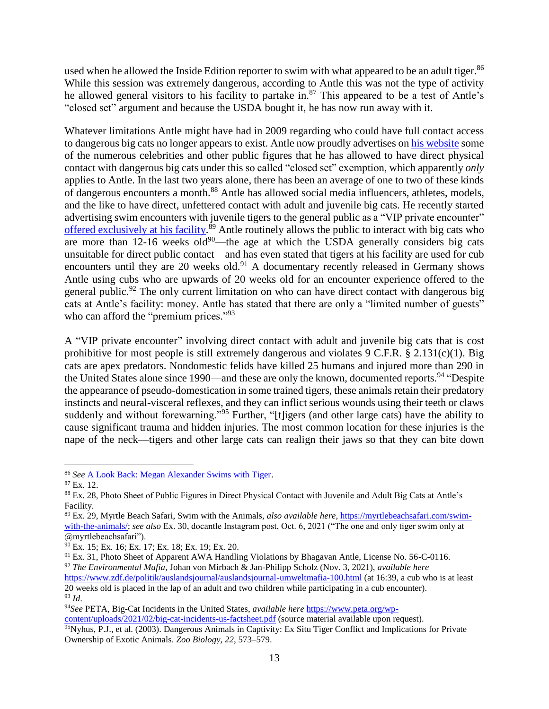used when he allowed the Inside Edition reporter to swim with what appeared to be an adult tiger.<sup>86</sup> While this session was extremely dangerous, according to Antle this was not the type of activity he allowed general visitors to his facility to partake in.<sup>87</sup> This appeared to be a test of Antle's "closed set" argument and because the USDA bought it, he has now run away with it.

Whatever limitations Antle might have had in 2009 regarding who could have full contact access to dangerous big cats no longer appears to exist. Antle now proudly advertises on [his website](https://myrtlebeachsafari.com/our-celebrities/) some of the numerous celebrities and other public figures that he has allowed to have direct physical contact with dangerous big cats under this so called "closed set" exemption, which apparently *only* applies to Antle. In the last two years alone, there has been an average of one to two of these kinds of dangerous encounters a month.<sup>88</sup> Antle has allowed social media influencers, athletes, models, and the like to have direct, unfettered contact with adult and juvenile big cats. He recently started advertising swim encounters with juvenile tigers to the general public as a "VIP private encounter" [offered exclusively at his facility.](https://www.instagram.com/p/CUr4VoFFrqu/)<sup>89</sup> Antle routinely allows the public to interact with big cats who are more than  $12{\text -}16$  weeks old<sup>90</sup>—the age at which the USDA generally considers big cats unsuitable for direct public contact—and has even stated that tigers at his facility are used for cub encounters until they are 20 weeks old.<sup>91</sup> A documentary recently released in Germany shows Antle using cubs who are upwards of 20 weeks old for an encounter experience offered to the general public.<sup>92</sup> The only current limitation on who can have direct contact with dangerous big cats at Antle's facility: money. Antle has stated that there are only a "limited number of guests" who can afford the "premium prices."<sup>93</sup>

A "VIP private encounter" involving direct contact with adult and juvenile big cats that is cost prohibitive for most people is still extremely dangerous and violates  $9 \text{ C.F.R.}$  § 2.131(c)(1). Big cats are apex predators. Nondomestic felids have killed 25 humans and injured more than 290 in the United States alone since 1990—and these are only the known, documented reports.<sup>94</sup> "Despite the appearance of pseudo-domestication in some trained tigers, these animals retain their predatory instincts and neural-visceral reflexes, and they can inflict serious wounds using their teeth or claws suddenly and without forewarning."<sup>95</sup> Further, "[t]igers (and other large cats) have the ability to cause significant trauma and hidden injuries. The most common location for these injuries is the nape of the neck—tigers and other large cats can realign their jaws so that they can bite down

<sup>86</sup> *See* [A Look Back: Megan Alexander Swims with Tiger.](https://youtu.be/3Gfm67yQgeo)

<sup>87</sup> Ex. 12.

<sup>88</sup> Ex. 28, Photo Sheet of Public Figures in Direct Physical Contact with Juvenile and Adult Big Cats at Antle's Facility.

<sup>89</sup> Ex. 29, Myrtle Beach Safari, Swim with the Animals, *also available here*[, https://myrtlebeachsafari.com/swim](https://myrtlebeachsafari.com/swim-with-the-animals/)[with-the-animals/;](https://myrtlebeachsafari.com/swim-with-the-animals/) *see also* Ex. 30, docantle Instagram post, Oct. 6, 2021 ("The one and only tiger swim only at @myrtlebeachsafari").

<sup>90</sup> Ex. 15; Ex. 16; Ex. 17; Ex. 18; Ex. 19; Ex. 20.

<sup>&</sup>lt;sup>91</sup> Ex. 31, Photo Sheet of Apparent AWA Handling Violations by Bhagavan Antle, License No. 56-C-0116. <sup>92</sup> *The Environmental Mafia*, Johan von Mirbach & Jan-Philipp Scholz (Nov. 3, 2021), *available here* <https://www.zdf.de/politik/auslandsjournal/auslandsjournal-umweltmafia-100.html> (at 16:39, a cub who is at least 20 weeks old is placed in the lap of an adult and two children while participating in a cub encounter).

<sup>93</sup> *Id*.

<sup>94</sup>*See* PETA, Big-Cat Incidents in the United States, *available here* [https://www.peta.org/wp](https://www.peta.org/wp-content/uploads/2021/02/big-cat-incidents-us-factsheet.pdf)[content/uploads/2021/02/big-cat-incidents-us-factsheet.pdf](https://www.peta.org/wp-content/uploads/2021/02/big-cat-incidents-us-factsheet.pdf) (source material available upon request).

<sup>95</sup>Nyhus, P.J., et al. (2003). Dangerous Animals in Captivity: Ex Situ Tiger Conflict and Implications for Private Ownership of Exotic Animals. *Zoo Biology, 22*, 573–579.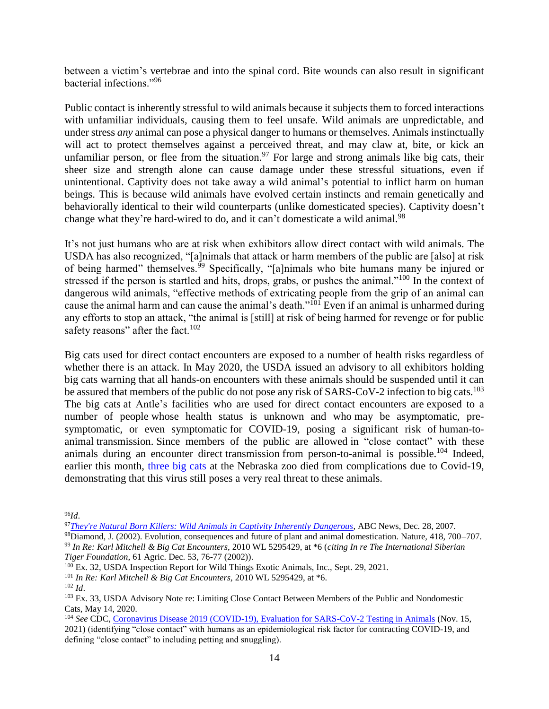between a victim's vertebrae and into the spinal cord. Bite wounds can also result in significant bacterial infections."<sup>96</sup>

Public contact is inherently stressful to wild animals because it subjects them to forced interactions with unfamiliar individuals, causing them to feel unsafe. Wild animals are unpredictable, and under stress *any* animal can pose a physical danger to humans or themselves. Animals instinctually will act to protect themselves against a perceived threat, and may claw at, bite, or kick an unfamiliar person, or flee from the situation.<sup>97</sup> For large and strong animals like big cats, their sheer size and strength alone can cause damage under these stressful situations, even if unintentional. Captivity does not take away a wild animal's potential to inflict harm on human beings. This is because wild animals have evolved certain instincts and remain genetically and behaviorally identical to their wild counterparts (unlike domesticated species). Captivity doesn't change what they're hard-wired to do, and it can't domesticate a wild animal.<sup>98</sup>

It's not just humans who are at risk when exhibitors allow direct contact with wild animals. The USDA has also recognized, "[a]nimals that attack or harm members of the public are [also] at risk of being harmed" themselves.<sup>99</sup> Specifically, "[a]nimals who bite humans many be injured or stressed if the person is startled and hits, drops, grabs, or pushes the animal."<sup>100</sup> In the context of dangerous wild animals, "effective methods of extricating people from the grip of an animal can cause the animal harm and can cause the animal's death."<sup>101</sup> Even if an animal is unharmed during any efforts to stop an attack, "the animal is [still] at risk of being harmed for revenge or for public safety reasons" after the fact. $102$ 

Big cats used for direct contact encounters are exposed to a number of health risks regardless of whether there is an attack. In May 2020, the USDA issued an advisory to all exhibitors holding big cats warning that all hands-on encounters with these animals should be suspended until it can be assured that members of the public do not pose any risk of SARS-CoV-2 infection to big cats.<sup>103</sup> The big cats at Antle's facilities who are used for direct contact encounters are exposed to a number of people whose health status is unknown and who may be asymptomatic, presymptomatic, or even symptomatic for COVID-19, posing a significant risk of human-toanimal transmission. Since members of the public are allowed in "close contact" with these animals during an encounter direct transmission from person-to-animal is possible.<sup>104</sup> Indeed, earlier this month, [three big cats](https://www.foxnews.com/us/snow-leopards-nebraska-zoo-die-covid) at the Nebraska zoo died from complications due to Covid-19, demonstrating that this virus still poses a very real threat to these animals.

<sup>98</sup>Diamond, J. (2002). Evolution, consequences and future of plant and animal domestication. Nature, 418, 700–707. <sup>99</sup> *In Re: Karl Mitchell & Big Cat Encounters*, 2010 WL 5295429, at \*6 (*citing In re The International Siberian Tiger Foundation*, 61 Agric. Dec. 53, 76-77 (2002)).

 $\overline{a}$ <sup>96</sup>*Id*.

<sup>97</sup>*[They're Natural Born Killers: Wild Animals in Captivity Inherently Dangerous](http://abcnews.go.com/2020/story?id=4061070)*, ABC News, Dec. 28, 2007.

<sup>&</sup>lt;sup>100</sup> Ex. 32, USDA Inspection Report for Wild Things Exotic Animals, Inc., Sept. 29, 2021.

<sup>101</sup> *In Re: Karl Mitchell & Big Cat Encounters,* 2010 WL 5295429, at \*6.

<sup>102</sup> *Id*.

<sup>103</sup> Ex. 33, USDA Advisory Note re: Limiting Close Contact Between Members of the Public and Nondomestic Cats, May 14, 2020.

<sup>104</sup> *See* CDC, [Coronavirus Disease 2019 \(COVID-19\), Evaluation for SARS-CoV-2 Testing in Animals](https://www.cdc.gov/coronavirus/2019-ncov/animals/animal-testing.html) (Nov. 15, 2021) (identifying "close contact" with humans as an epidemiological risk factor for contracting COVID-19, and defining "close contact" to including petting and snuggling).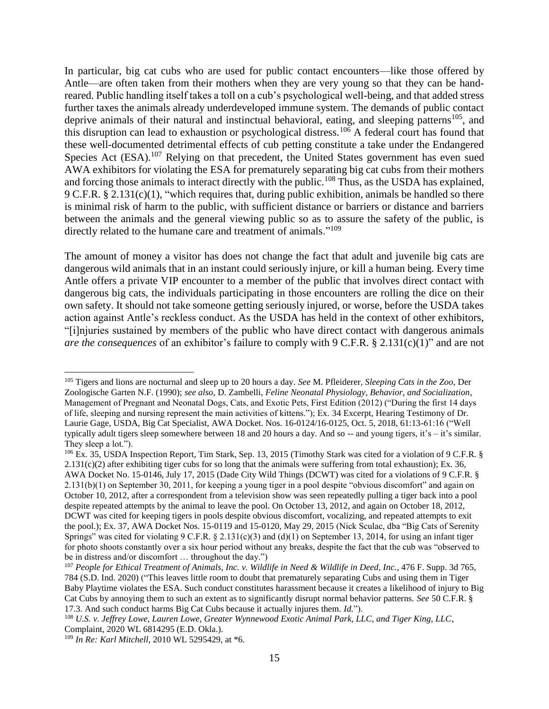In particular, big cat cubs who are used for public contact encounters—like those offered by Antle—are often taken from their mothers when they are very young so that they can be handreared. Public handling itself takes a toll on a cub's psychological well-being, and that added stress further taxes the animals already underdeveloped immune system. The demands of public contact deprive animals of their natural and instinctual behavioral, eating, and sleeping patterns<sup>105</sup>, and this disruption can lead to exhaustion or psychological distress.<sup>106</sup> A federal court has found that these well-documented detrimental effects of cub petting constitute a take under the Endangered Species Act (ESA).<sup>107</sup> Relying on that precedent, the United States government has even sued AWA exhibitors for violating the ESA for prematurely separating big cat cubs from their mothers and forcing those animals to interact directly with the public.<sup>108</sup> Thus, as the USDA has explained, 9 C.F.R. § 2.131(c)(1), "which requires that, during public exhibition, animals be handled so there is minimal risk of harm to the public, with sufficient distance or barriers or distance and barriers between the animals and the general viewing public so as to assure the safety of the public, is directly related to the humane care and treatment of animals."<sup>109</sup>

The amount of money a visitor has does not change the fact that adult and juvenile big cats are dangerous wild animals that in an instant could seriously injure, or kill a human being. Every time Antle offers a private VIP encounter to a member of the public that involves direct contact with dangerous big cats, the individuals participating in those encounters are rolling the dice on their own safety. It should not take someone getting seriously injured, or worse, before the USDA takes action against Antle's reckless conduct. As the USDA has held in the context of other exhibitors, "[i]njuries sustained by members of the public who have direct contact with dangerous animals *are the consequences* of an exhibitor's failure to comply with 9 C.F.R. § 2.131(c)(1)" and are not

<sup>106</sup> Ex. 35, USDA Inspection Report, Tim Stark, Sep. 13, 2015 (Timothy Stark was cited for a violation of 9 C.F.R. §  $2.131(c)(2)$  after exhibiting tiger cubs for so long that the animals were suffering from total exhaustion); Ex. 36, AWA Docket No. 15-0146, July 17, 2015 (Dade City Wild Things (DCWT) was cited for a violations of 9 C.F.R. § 2.131(b)(1) on September 30, 2011, for keeping a young tiger in a pool despite "obvious discomfort" and again on October 10, 2012, after a correspondent from a television show was seen repeatedly pulling a tiger back into a pool despite repeated attempts by the animal to leave the pool. On October 13, 2012, and again on October 18, 2012, DCWT was cited for keeping tigers in pools despite obvious discomfort, vocalizing, and repeated attempts to exit the pool.); Ex. 37, AWA Docket Nos. 15-0119 and 15-0120, May 29, 2015 (Nick Sculac, dba "Big Cats of Serenity Springs" was cited for violating  $9 \text{ C.F.R.} \$   $2.131(c)(3)$  and (d)(1) on September 13, 2014, for using an infant tiger for photo shoots constantly over a six hour period without any breaks, despite the fact that the cub was "observed to be in distress and/or discomfort … throughout the day.")

<sup>105</sup> Tigers and lions are nocturnal and sleep up to 20 hours a day. *See* M. Pfleiderer, *Sleeping Cats in the Zoo*, Der Zoologische Garten N.F. (1990); *see also*, D. Zambelli, *Feline Neonatal Physiology, Behavior, and Socialization*, Management of Pregnant and Neonatal Dogs, Cats, and Exotic Pets, First Edition (2012) ("During the first 14 days of life, sleeping and nursing represent the main activities of kittens."); Ex. 34 Excerpt, Hearing Testimony of Dr. Laurie Gage, USDA, Big Cat Specialist, AWA Docket. Nos. 16-0124/16-0125, Oct. 5, 2018, 61:13-61:16 ("Well typically adult tigers sleep somewhere between 18 and 20 hours a day. And so -- and young tigers, it's – it's similar. They sleep a lot.").

<sup>&</sup>lt;sup>107</sup> People for Ethical Treatment of Animals, Inc. v. Wildlife in Need & Wildlife in Deed, Inc., 476 F. Supp. 3d 765, 784 (S.D. Ind. 2020) ("This leaves little room to doubt that prematurely separating Cubs and using them in Tiger Baby Playtime violates the ESA. Such conduct constitutes harassment because it creates a likelihood of injury to Big Cat Cubs by annoying them to such an extent as to significantly disrupt normal behavior patterns. *See* 50 C.F.R. § 17.3. And such conduct harms Big Cat Cubs because it actually injures them. *Id.*").

<sup>108</sup> *U.S. v. Jeffrey Lowe, Lauren Lowe, Greater Wynnewood Exotic Animal Park, LLC, and Tiger King, LLC*, Complaint, 2020 WL 6814295 (E.D. Okla.).

<sup>109</sup> *In Re: Karl Mitchell*, 2010 WL 5295429, at \*6.